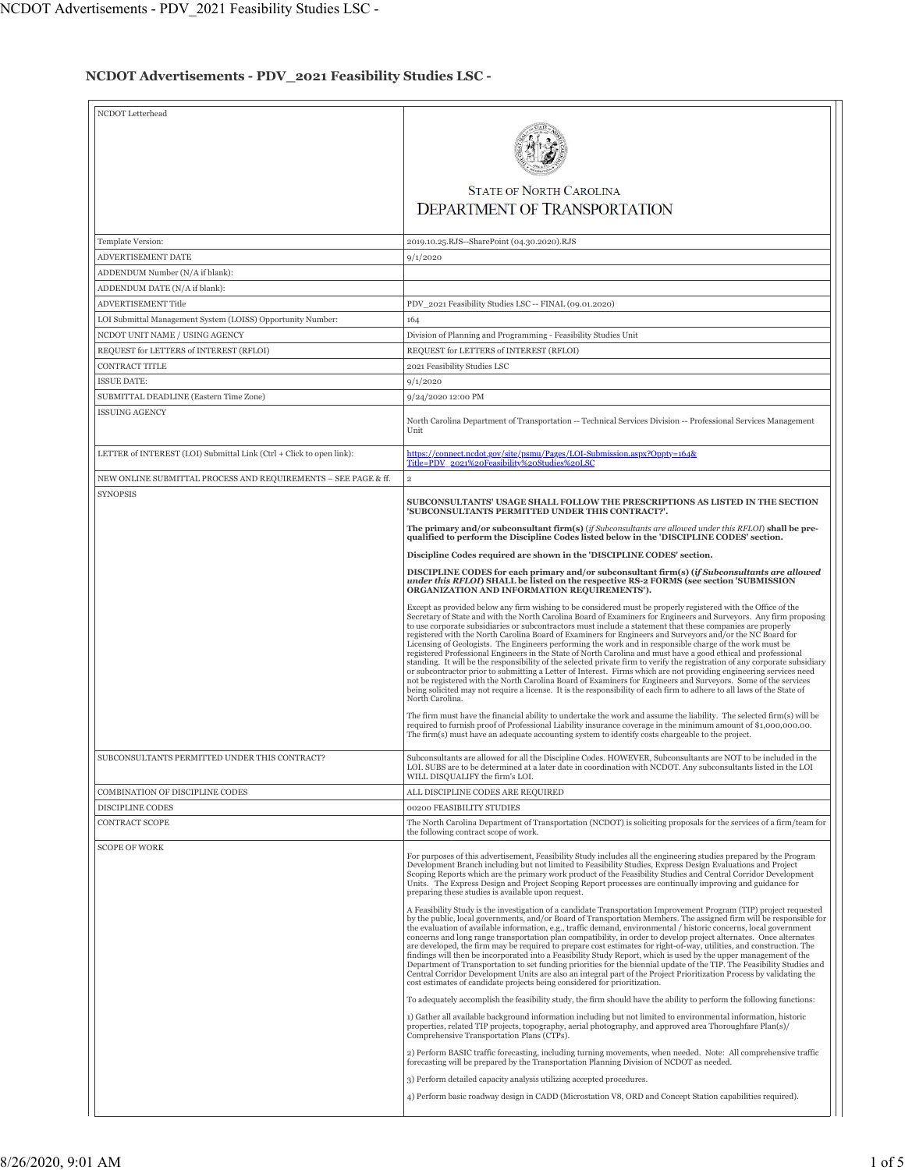## **NCDOT Advertisements - PDV\_2021 Feasibility Studies LSC -**

| NCDOT Letterhead                                                     |                                                                                                                                                                                                                                                                                                                                                                                                                                                                                                                                                                                                                                                                                                                                                                                                                                                                                                                                                                                                                                                                                                                                                                                                                 |
|----------------------------------------------------------------------|-----------------------------------------------------------------------------------------------------------------------------------------------------------------------------------------------------------------------------------------------------------------------------------------------------------------------------------------------------------------------------------------------------------------------------------------------------------------------------------------------------------------------------------------------------------------------------------------------------------------------------------------------------------------------------------------------------------------------------------------------------------------------------------------------------------------------------------------------------------------------------------------------------------------------------------------------------------------------------------------------------------------------------------------------------------------------------------------------------------------------------------------------------------------------------------------------------------------|
|                                                                      |                                                                                                                                                                                                                                                                                                                                                                                                                                                                                                                                                                                                                                                                                                                                                                                                                                                                                                                                                                                                                                                                                                                                                                                                                 |
|                                                                      | <b>STATE OF NORTH CAROLINA</b>                                                                                                                                                                                                                                                                                                                                                                                                                                                                                                                                                                                                                                                                                                                                                                                                                                                                                                                                                                                                                                                                                                                                                                                  |
|                                                                      | <b>DEPARTMENT OF TRANSPORTATION</b>                                                                                                                                                                                                                                                                                                                                                                                                                                                                                                                                                                                                                                                                                                                                                                                                                                                                                                                                                                                                                                                                                                                                                                             |
| Template Version:                                                    | 2019.10.25.RJS--SharePoint (04.30.2020).RJS                                                                                                                                                                                                                                                                                                                                                                                                                                                                                                                                                                                                                                                                                                                                                                                                                                                                                                                                                                                                                                                                                                                                                                     |
| ADVERTISEMENT DATE                                                   | 9/1/2020                                                                                                                                                                                                                                                                                                                                                                                                                                                                                                                                                                                                                                                                                                                                                                                                                                                                                                                                                                                                                                                                                                                                                                                                        |
| ADDENDUM Number (N/A if blank):                                      |                                                                                                                                                                                                                                                                                                                                                                                                                                                                                                                                                                                                                                                                                                                                                                                                                                                                                                                                                                                                                                                                                                                                                                                                                 |
| ADDENDUM DATE (N/A if blank):                                        |                                                                                                                                                                                                                                                                                                                                                                                                                                                                                                                                                                                                                                                                                                                                                                                                                                                                                                                                                                                                                                                                                                                                                                                                                 |
| <b>ADVERTISEMENT Title</b>                                           | PDV_2021 Feasibility Studies LSC -- FINAL (09.01.2020)                                                                                                                                                                                                                                                                                                                                                                                                                                                                                                                                                                                                                                                                                                                                                                                                                                                                                                                                                                                                                                                                                                                                                          |
| LOI Submittal Management System (LOISS) Opportunity Number:          | 164                                                                                                                                                                                                                                                                                                                                                                                                                                                                                                                                                                                                                                                                                                                                                                                                                                                                                                                                                                                                                                                                                                                                                                                                             |
| NCDOT UNIT NAME / USING AGENCY                                       | Division of Planning and Programming - Feasibility Studies Unit                                                                                                                                                                                                                                                                                                                                                                                                                                                                                                                                                                                                                                                                                                                                                                                                                                                                                                                                                                                                                                                                                                                                                 |
| REQUEST for LETTERS of INTEREST (RFLOI)                              | REQUEST for LETTERS of INTEREST (RFLOI)                                                                                                                                                                                                                                                                                                                                                                                                                                                                                                                                                                                                                                                                                                                                                                                                                                                                                                                                                                                                                                                                                                                                                                         |
| CONTRACT TITLE                                                       | 2021 Feasibility Studies LSC                                                                                                                                                                                                                                                                                                                                                                                                                                                                                                                                                                                                                                                                                                                                                                                                                                                                                                                                                                                                                                                                                                                                                                                    |
| <b>ISSUE DATE:</b>                                                   | 9/1/2020<br>9/24/2020 12:00 PM                                                                                                                                                                                                                                                                                                                                                                                                                                                                                                                                                                                                                                                                                                                                                                                                                                                                                                                                                                                                                                                                                                                                                                                  |
| SUBMITTAL DEADLINE (Eastern Time Zone)<br><b>ISSUING AGENCY</b>      |                                                                                                                                                                                                                                                                                                                                                                                                                                                                                                                                                                                                                                                                                                                                                                                                                                                                                                                                                                                                                                                                                                                                                                                                                 |
|                                                                      | North Carolina Department of Transportation -- Technical Services Division -- Professional Services Management<br>Unit                                                                                                                                                                                                                                                                                                                                                                                                                                                                                                                                                                                                                                                                                                                                                                                                                                                                                                                                                                                                                                                                                          |
| LETTER of INTEREST (LOI) Submittal Link (Ctrl + Click to open link): | https://connect.ncdot.gov/site/psmu/Pages/LOI-Submission.aspx?Oppty=164&<br>Title=PDV_2021%20Feasibility%20Studies%20LSC                                                                                                                                                                                                                                                                                                                                                                                                                                                                                                                                                                                                                                                                                                                                                                                                                                                                                                                                                                                                                                                                                        |
| NEW ONLINE SUBMITTAL PROCESS AND REQUIREMENTS - SEE PAGE & ff.       | $\overline{\mathbf{2}}$                                                                                                                                                                                                                                                                                                                                                                                                                                                                                                                                                                                                                                                                                                                                                                                                                                                                                                                                                                                                                                                                                                                                                                                         |
| <b>SYNOPSIS</b>                                                      |                                                                                                                                                                                                                                                                                                                                                                                                                                                                                                                                                                                                                                                                                                                                                                                                                                                                                                                                                                                                                                                                                                                                                                                                                 |
|                                                                      | SUBCONSULTANTS' USAGE SHALL FOLLOW THE PRESCRIPTIONS AS LISTED IN THE SECTION<br>'SUBCONSULTANTS PERMITTED UNDER THIS CONTRACT?'.                                                                                                                                                                                                                                                                                                                                                                                                                                                                                                                                                                                                                                                                                                                                                                                                                                                                                                                                                                                                                                                                               |
|                                                                      | The primary and/or subconsultant firm(s) (if Subconsultants are allowed under this RFLOI) shall be pre-<br>qualified to perform the Discipline Codes listed below in the 'DISCIPLINE CODES' section.                                                                                                                                                                                                                                                                                                                                                                                                                                                                                                                                                                                                                                                                                                                                                                                                                                                                                                                                                                                                            |
|                                                                      | Discipline Codes required are shown in the 'DISCIPLINE CODES' section.                                                                                                                                                                                                                                                                                                                                                                                                                                                                                                                                                                                                                                                                                                                                                                                                                                                                                                                                                                                                                                                                                                                                          |
|                                                                      | DISCIPLINE CODES for each primary and/or subconsultant firm(s) (if Subconsultants are allowed<br>under this RFLOI) SHALL be listed on the respective RS-2 FORMS (see section 'SUBMISSION<br>ORGANIZATION AND INFORMATION REQUIREMENTS').                                                                                                                                                                                                                                                                                                                                                                                                                                                                                                                                                                                                                                                                                                                                                                                                                                                                                                                                                                        |
|                                                                      | Except as provided below any firm wishing to be considered must be properly registered with the Office of the<br>Secretary of State and with the North Carolina Board of Examiners for Engineers and Surveyors. Any firm proposing<br>to use corporate subsidiaries or subcontractors must include a statement that these companies are properly<br>registered with the North Carolina Board of Examiners for Engineers and Surveyors and/or the NC Board for<br>Licensing of Geologists. The Engineers performing the work and in responsible charge of the work must be<br>registered Professional Engineers in the State of North Carolina and must have a good ethical and professional<br>standing. It will be the responsibility of the selected private firm to verify the registration of any corporate subsidiary<br>or subcontractor prior to submitting a Letter of Interest. Firms which are not providing engineering services need<br>not be registered with the North Carolina Board of Examiners for Engineers and Surveyors. Some of the services<br>being solicited may not require a license. It is the responsibility of each firm to adhere to all laws of the State of<br>North Carolina. |
|                                                                      | The firm must have the financial ability to undertake the work and assume the liability. The selected firm(s) will be<br>required to furnish proof of Professional Liability insurance coverage in the minimum amount of \$1,000,000.00.<br>The firm(s) must have an adequate accounting system to identify costs chargeable to the project.                                                                                                                                                                                                                                                                                                                                                                                                                                                                                                                                                                                                                                                                                                                                                                                                                                                                    |
| SUBCONSULTANTS PERMITTED UNDER THIS CONTRACT?                        | Subconsultants are allowed for all the Discipline Codes. HOWEVER, Subconsultants are NOT to be included in the<br>LOI. SUBS are to be determined at a later date in coordination with NCDOT. Any subconsultants listed in the LOI<br>WILL DISQUALIFY the firm's LOI.                                                                                                                                                                                                                                                                                                                                                                                                                                                                                                                                                                                                                                                                                                                                                                                                                                                                                                                                            |
| <b>COMBINATION OF DISCIPLINE CODES</b>                               | ALL DISCIPLINE CODES ARE REQUIRED                                                                                                                                                                                                                                                                                                                                                                                                                                                                                                                                                                                                                                                                                                                                                                                                                                                                                                                                                                                                                                                                                                                                                                               |
| DISCIPLINE CODES                                                     | 00200 FEASIBILITY STUDIES                                                                                                                                                                                                                                                                                                                                                                                                                                                                                                                                                                                                                                                                                                                                                                                                                                                                                                                                                                                                                                                                                                                                                                                       |
| <b>CONTRACT SCOPE</b>                                                | The North Carolina Department of Transportation (NCDOT) is soliciting proposals for the services of a firm/team for<br>the following contract scope of work.                                                                                                                                                                                                                                                                                                                                                                                                                                                                                                                                                                                                                                                                                                                                                                                                                                                                                                                                                                                                                                                    |
| <b>SCOPE OF WORK</b>                                                 | For purposes of this advertisement, Feasibility Study includes all the engineering studies prepared by the Program<br>Development Branch including but not limited to Feasibility Studies, Express Design Evaluations and Project<br>Scoping Reports which are the primary work product of the Feasibility Studies and Central Corridor Development<br>Units. The Express Design and Project Scoping Report processes are continually improving and guidance for<br>preparing these studies is available upon request.                                                                                                                                                                                                                                                                                                                                                                                                                                                                                                                                                                                                                                                                                          |
|                                                                      | A Feasibility Study is the investigation of a candidate Transportation Improvement Program (TIP) project requested<br>by the public, local governments, and/or Board of Transportation Members. The assigned firm will be responsible for<br>the evaluation of available information, e.g., traffic demand, environmental / historic concerns, local government<br>concerns and long range transportation plan compatibility, in order to develop project alternates. Once alternates<br>are developed, the firm may be required to prepare cost estimates for right-of-way, utilities, and construction. The<br>findings will then be incorporated into a Feasibility Study Report, which is used by the upper management of the<br>Department of Transportation to set funding priorities for the biennial update of the TIP. The Feasibility Studies and<br>Central Corridor Development Units are also an integral part of the Project Prioritization Process by validating the<br>cost estimates of candidate projects being considered for prioritization.                                                                                                                                                |
|                                                                      | To adequately accomplish the feasibility study, the firm should have the ability to perform the following functions:                                                                                                                                                                                                                                                                                                                                                                                                                                                                                                                                                                                                                                                                                                                                                                                                                                                                                                                                                                                                                                                                                            |
|                                                                      | 1) Gather all available background information including but not limited to environmental information, historic<br>properties, related TIP projects, topography, aerial photography, and approved area Thoroughfare Plan(s)/<br>Comprehensive Transportation Plans (CTPs).                                                                                                                                                                                                                                                                                                                                                                                                                                                                                                                                                                                                                                                                                                                                                                                                                                                                                                                                      |
|                                                                      | 2) Perform BASIC traffic forecasting, including turning movements, when needed. Note: All comprehensive traffic<br>forecasting will be prepared by the Transportation Planning Division of NCDOT as needed.                                                                                                                                                                                                                                                                                                                                                                                                                                                                                                                                                                                                                                                                                                                                                                                                                                                                                                                                                                                                     |
|                                                                      | 3) Perform detailed capacity analysis utilizing accepted procedures.                                                                                                                                                                                                                                                                                                                                                                                                                                                                                                                                                                                                                                                                                                                                                                                                                                                                                                                                                                                                                                                                                                                                            |
|                                                                      | 4) Perform basic roadway design in CADD (Microstation V8, ORD and Concept Station capabilities required).                                                                                                                                                                                                                                                                                                                                                                                                                                                                                                                                                                                                                                                                                                                                                                                                                                                                                                                                                                                                                                                                                                       |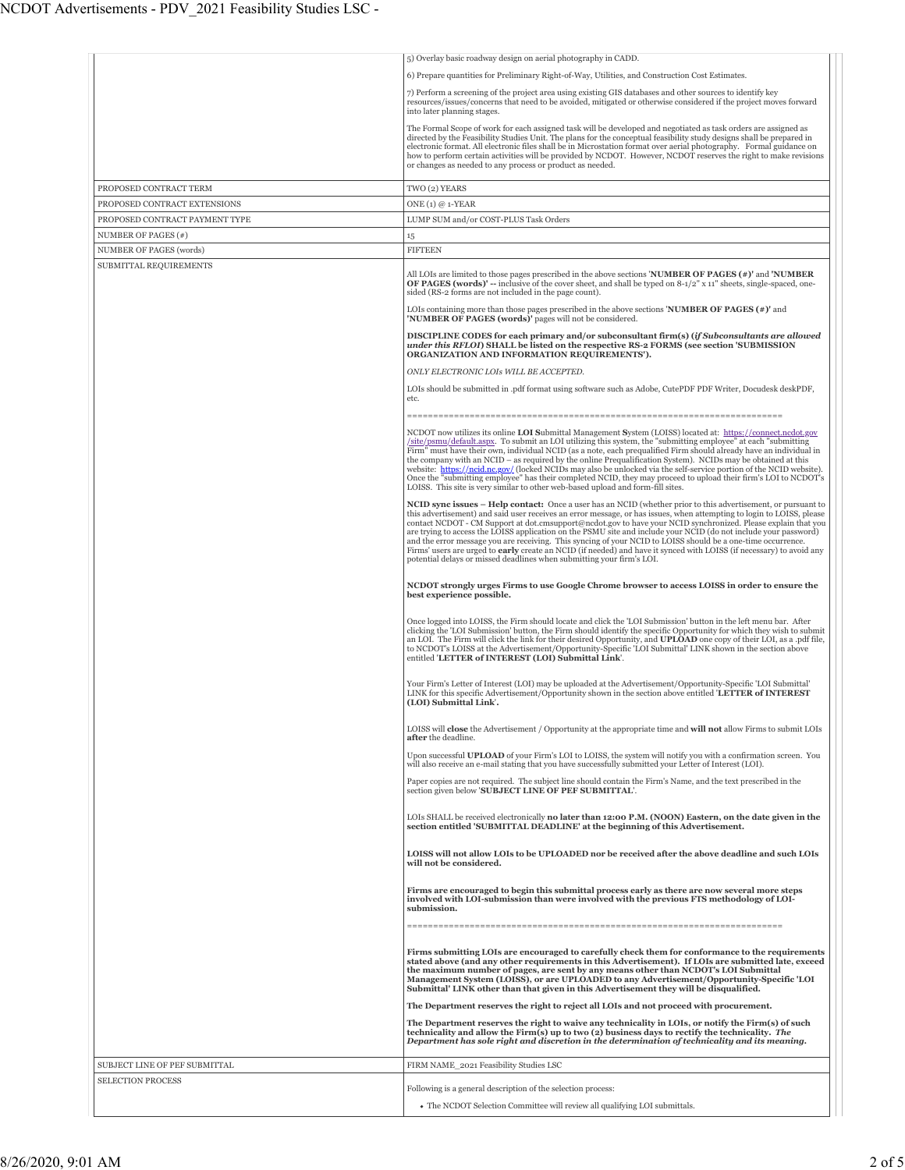|                                | 5) Overlay basic roadway design on aerial photography in CADD.                                                                                                                                                                                                                                                                                                                                                                                                                                                                                                                                                                                                                                                                                                                                   |
|--------------------------------|--------------------------------------------------------------------------------------------------------------------------------------------------------------------------------------------------------------------------------------------------------------------------------------------------------------------------------------------------------------------------------------------------------------------------------------------------------------------------------------------------------------------------------------------------------------------------------------------------------------------------------------------------------------------------------------------------------------------------------------------------------------------------------------------------|
|                                | 6) Prepare quantities for Preliminary Right-of-Way, Utilities, and Construction Cost Estimates.                                                                                                                                                                                                                                                                                                                                                                                                                                                                                                                                                                                                                                                                                                  |
|                                | 7) Perform a screening of the project area using existing GIS databases and other sources to identify key<br>resources/issues/concerns that need to be avoided, mitigated or otherwise considered if the project moves forward<br>into later planning stages.                                                                                                                                                                                                                                                                                                                                                                                                                                                                                                                                    |
|                                | The Formal Scope of work for each assigned task will be developed and negotiated as task orders are assigned as<br>directed by the Feasibility Studies Unit. The plans for the conceptual feasibility study designs shall be prepared in<br>electronic format. All electronic files shall be in Microstation format over aerial photography. Formal guidance on<br>how to perform certain activities will be provided by NCDOT. However, NCDOT reserves the right to make revisions<br>or changes as needed to any process or product as needed.                                                                                                                                                                                                                                                 |
| PROPOSED CONTRACT TERM         | TWO (2) YEARS                                                                                                                                                                                                                                                                                                                                                                                                                                                                                                                                                                                                                                                                                                                                                                                    |
| PROPOSED CONTRACT EXTENSIONS   | ONE $(1)$ @ 1-YEAR                                                                                                                                                                                                                                                                                                                                                                                                                                                                                                                                                                                                                                                                                                                                                                               |
| PROPOSED CONTRACT PAYMENT TYPE | LUMP SUM and/or COST-PLUS Task Orders                                                                                                                                                                                                                                                                                                                                                                                                                                                                                                                                                                                                                                                                                                                                                            |
| NUMBER OF PAGES (#)            | 15                                                                                                                                                                                                                                                                                                                                                                                                                                                                                                                                                                                                                                                                                                                                                                                               |
| NUMBER OF PAGES (words)        | <b>FIFTEEN</b>                                                                                                                                                                                                                                                                                                                                                                                                                                                                                                                                                                                                                                                                                                                                                                                   |
| SUBMITTAL REQUIREMENTS         | All LOIs are limited to those pages prescribed in the above sections <b>NUMBER OF PAGES</b> (#)' and <b>NUMBER</b><br><b>OF PAGES (words)'</b> -- inclusive of the cover sheet, and shall be typed on $8-1/2$ " x 11" sheets, single-spaced, one-<br>sided (RS-2 forms are not included in the page count).                                                                                                                                                                                                                                                                                                                                                                                                                                                                                      |
|                                | LOIs containing more than those pages prescribed in the above sections <b>NUMBER OF PAGES</b> $(*)$ and<br>'NUMBER OF PAGES (words)' pages will not be considered.                                                                                                                                                                                                                                                                                                                                                                                                                                                                                                                                                                                                                               |
|                                | DISCIPLINE CODES for each primary and/or subconsultant firm(s) (if Subconsultants are allowed<br>under this RFLOI) SHALL be listed on the respective RS-2 FORMS (see section 'SUBMISSION<br>ORGANIZATION AND INFORMATION REQUIREMENTS').                                                                                                                                                                                                                                                                                                                                                                                                                                                                                                                                                         |
|                                | ONLY ELECTRONIC LOIS WILL BE ACCEPTED.                                                                                                                                                                                                                                                                                                                                                                                                                                                                                                                                                                                                                                                                                                                                                           |
|                                | LOIs should be submitted in .pdf format using software such as Adobe, CutePDF PDF Writer, Docudesk deskPDF,<br>etc.                                                                                                                                                                                                                                                                                                                                                                                                                                                                                                                                                                                                                                                                              |
|                                | NCDOT now utilizes its online LOI Submittal Management System (LOISS) located at: https://connect.ncdot.gov<br>/site/psmu/default.aspx. To submit an LOI utilizing this system, the "submitting employee" at each "submitting<br>Firm" must have their own, individual NCID (as a note, each prequalified Firm should already have an individual in<br>the company with an NCID – as required by the online Prequalification System). NCIDs may be obtained at this<br>website: https://ncid.nc.gov/ (locked NCIDs may also be unlocked via the self-service portion of the NCID website).<br>Once the "submitting employee" has their completed NCID, they may proceed to upload their firm's LOI to NCDOT's<br>LOISS. This site is very similar to other web-based upload and form-fill sites. |
|                                | NCID sync issues - Help contact: Once a user has an NCID (whether prior to this advertisement, or pursuant to<br>this advertisement) and said user receives an error message, or has issues, when attempting to login to LOISS, please<br>contact NCDOT - CM Support at dot.cmsupport@ncdot.gov to have your NCID synchronized. Please explain that you<br>are trying to access the LOISS application on the PSMU site and include your NCID (do not include your password)<br>and the error message you are receiving. This syncing of your NCID to LOISS should be a one-time occurrence.<br>Firms' users are urged to early create an NCID (if needed) and have it synced with LOISS (if necessary) to avoid any<br>potential delays or missed deadlines when submitting your firm's LOI.     |
|                                | NCDOT strongly urges Firms to use Google Chrome browser to access LOISS in order to ensure the<br>best experience possible.                                                                                                                                                                                                                                                                                                                                                                                                                                                                                                                                                                                                                                                                      |
|                                | Once logged into LOISS, the Firm should locate and click the 'LOI Submission' button in the left menu bar. After<br>clicking the 'LOI Submission' button, the Firm should identify the specific Opportunity for which they wish to submit<br>an LOI. The Firm will click the link for their desired Opportunity, and UPLOAD one copy of their LOI, as a .pdf file,<br>to NCDOT's LOISS at the Advertisement/Opportunity-Specific 'LOI Submittal' LINK shown in the section above<br>entitled 'LETTER of INTEREST (LOI) Submittal Link'.                                                                                                                                                                                                                                                          |
|                                | Your Firm's Letter of Interest (LOI) may be uploaded at the Advertisement/Opportunity-Specific 'LOI Submittal'<br>LINK for this specific Advertisement/Opportunity shown in the section above entitled 'LETTER of INTEREST<br>(LOI) Submittal Link'.                                                                                                                                                                                                                                                                                                                                                                                                                                                                                                                                             |
|                                | LOISS will close the Advertisement / Opportunity at the appropriate time and will not allow Firms to submit LOIs<br>after the deadline.                                                                                                                                                                                                                                                                                                                                                                                                                                                                                                                                                                                                                                                          |
|                                | Upon successful UPLOAD of your Firm's LOI to LOISS, the system will notify you with a confirmation screen. You<br>will also receive an e-mail stating that you have successfully submitted your Letter of Interest (LOI).                                                                                                                                                                                                                                                                                                                                                                                                                                                                                                                                                                        |
|                                | Paper copies are not required. The subject line should contain the Firm's Name, and the text prescribed in the<br>section given below 'SUBJECT LINE OF PEF SUBMITTAL'.                                                                                                                                                                                                                                                                                                                                                                                                                                                                                                                                                                                                                           |
|                                | LOIs SHALL be received electronically no later than 12:00 P.M. (NOON) Eastern, on the date given in the<br>section entitled 'SUBMITTAL DEADLINE' at the beginning of this Advertisement.                                                                                                                                                                                                                                                                                                                                                                                                                                                                                                                                                                                                         |
|                                | LOISS will not allow LOIs to be UPLOADED nor be received after the above deadline and such LOIs<br>will not be considered.                                                                                                                                                                                                                                                                                                                                                                                                                                                                                                                                                                                                                                                                       |
|                                | Firms are encouraged to begin this submittal process early as there are now several more steps<br>involved with LOI-submission than were involved with the previous FTS methodology of LOI-<br>submission.                                                                                                                                                                                                                                                                                                                                                                                                                                                                                                                                                                                       |
|                                |                                                                                                                                                                                                                                                                                                                                                                                                                                                                                                                                                                                                                                                                                                                                                                                                  |
|                                | Firms submitting LOIs are encouraged to carefully check them for conformance to the requirements<br>stated above (and any other requirements in this Advertisement). If LOIs are submitted late, exceed<br>the maximum number of pages, are sent by any means other than NCDOT's LOI Submittal<br>Management System (LOISS), or are UPLOADED to any Advertisement/Opportunity-Specific 'LOI<br>Submittal' LINK other than that given in this Advertisement they will be disqualified.                                                                                                                                                                                                                                                                                                            |
|                                | The Department reserves the right to reject all LOIs and not proceed with procurement.                                                                                                                                                                                                                                                                                                                                                                                                                                                                                                                                                                                                                                                                                                           |
|                                | The Department reserves the right to waive any technicality in LOIs, or notify the Firm(s) of such<br>technicality and allow the Firm(s) up to two (2) business days to rectify the technicality. The<br>Department has sole right and discretion in the determination of technicality and its meaning.                                                                                                                                                                                                                                                                                                                                                                                                                                                                                          |
| SUBJECT LINE OF PEF SUBMITTAL  | FIRM NAME_2021 Feasibility Studies LSC                                                                                                                                                                                                                                                                                                                                                                                                                                                                                                                                                                                                                                                                                                                                                           |
| <b>SELECTION PROCESS</b>       | Following is a general description of the selection process:                                                                                                                                                                                                                                                                                                                                                                                                                                                                                                                                                                                                                                                                                                                                     |
|                                | • The NCDOT Selection Committee will review all qualifying LOI submittals.                                                                                                                                                                                                                                                                                                                                                                                                                                                                                                                                                                                                                                                                                                                       |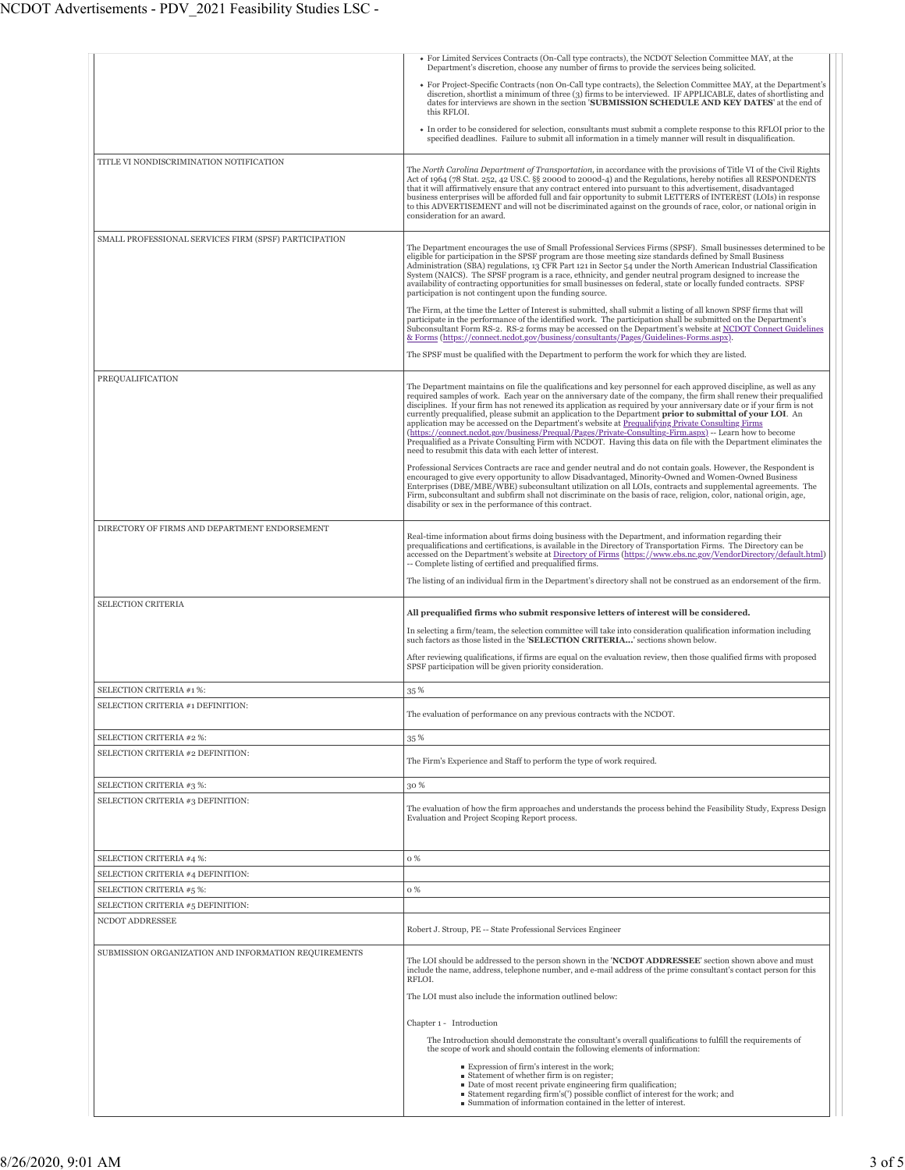|                                                       | • For Limited Services Contracts (On-Call type contracts), the NCDOT Selection Committee MAY, at the<br>Department's discretion, choose any number of firms to provide the services being solicited.                                                                                                                                                                                                                                                                                                                                                                                                                                                                                                                                                                                                                                                                            |
|-------------------------------------------------------|---------------------------------------------------------------------------------------------------------------------------------------------------------------------------------------------------------------------------------------------------------------------------------------------------------------------------------------------------------------------------------------------------------------------------------------------------------------------------------------------------------------------------------------------------------------------------------------------------------------------------------------------------------------------------------------------------------------------------------------------------------------------------------------------------------------------------------------------------------------------------------|
|                                                       | • For Project-Specific Contracts (non On-Call type contracts), the Selection Committee MAY, at the Department's<br>discretion, shortlist a minimum of three (3) firms to be interviewed. IF APPLICABLE, dates of shortlisting and<br>dates for interviews are shown in the section 'SUBMISSION SCHEDULE AND KEY DATES' at the end of<br>this RFLOI.                                                                                                                                                                                                                                                                                                                                                                                                                                                                                                                             |
|                                                       | • In order to be considered for selection, consultants must submit a complete response to this RFLOI prior to the<br>specified deadlines. Failure to submit all information in a timely manner will result in disqualification.                                                                                                                                                                                                                                                                                                                                                                                                                                                                                                                                                                                                                                                 |
| TITLE VI NONDISCRIMINATION NOTIFICATION               |                                                                                                                                                                                                                                                                                                                                                                                                                                                                                                                                                                                                                                                                                                                                                                                                                                                                                 |
|                                                       | The North Carolina Department of Transportation, in accordance with the provisions of Title VI of the Civil Rights<br>Act of 1964 (78 Stat. 252, 42 US.C. §§ 2000d to 2000d-4) and the Regulations, hereby notifies all RESPONDENTS<br>that it will affirmatively ensure that any contract entered into pursuant to this advertisement, disadvantaged<br>business enterprises will be afforded full and fair opportunity to submit LETTERS of INTEREST (LOIs) in response<br>to this ADVERTISEMENT and will not be discriminated against on the grounds of race, color, or national origin in<br>consideration for an award.                                                                                                                                                                                                                                                    |
| SMALL PROFESSIONAL SERVICES FIRM (SPSF) PARTICIPATION | The Department encourages the use of Small Professional Services Firms (SPSF). Small businesses determined to be<br>eligible for participation in the SPSF program are those meeting size standards defined by Small Business<br>Administration (SBA) regulations, 13 CFR Part 121 in Sector 54 under the North American Industrial Classification<br>System (NAICS). The SPSF program is a race, ethnicity, and gender neutral program designed to increase the<br>availability of contracting opportunities for small businesses on federal, state or locally funded contracts. SPSF<br>participation is not contingent upon the funding source.                                                                                                                                                                                                                              |
|                                                       | The Firm, at the time the Letter of Interest is submitted, shall submit a listing of all known SPSF firms that will<br>participate in the performance of the identified work. The participation shall be submitted on the Department's<br>Subconsultant Form RS-2. RS-2 forms may be accessed on the Department's website at NCDOT Connect Guidelines<br>& Forms (https://connect.ncdot.gov/business/consultants/Pages/Guidelines-Forms.aspx).<br>The SPSF must be qualified with the Department to perform the work for which they are listed.                                                                                                                                                                                                                                                                                                                                 |
|                                                       |                                                                                                                                                                                                                                                                                                                                                                                                                                                                                                                                                                                                                                                                                                                                                                                                                                                                                 |
| PREQUALIFICATION                                      | The Department maintains on file the qualifications and key personnel for each approved discipline, as well as any<br>required samples of work. Each year on the anniversary date of the company, the firm shall renew their prequalified<br>disciplines. If your firm has not renewed its application as required by your anniversary date or if your firm is not<br>currently prequalified, please submit an application to the Department prior to submittal of your LOI. An<br>application may be accessed on the Department's website at Prequalifying Private Consulting Firms<br>(https://connect.ncdot.gov/business/Prequal/Pages/Private-Consulting-Firm.aspx) -- Learn how to become<br>Prequalified as a Private Consulting Firm with NCDOT. Having this data on file with the Department eliminates the<br>need to resubmit this data with each letter of interest. |
|                                                       | Professional Services Contracts are race and gender neutral and do not contain goals. However, the Respondent is<br>encouraged to give every opportunity to allow Disadvantaged, Minority-Owned and Women-Owned Business<br>Enterprises (DBE/MBE/WBE) subconsultant utilization on all LOIs, contracts and supplemental agreements. The<br>Firm, subconsultant and subfirm shall not discriminate on the basis of race, religion, color, national origin, age,<br>disability or sex in the performance of this contract.                                                                                                                                                                                                                                                                                                                                                        |
| DIRECTORY OF FIRMS AND DEPARTMENT ENDORSEMENT         | Real-time information about firms doing business with the Department, and information regarding their<br>prequalifications and certifications, is available in the Directory of Transportation Firms. The Directory can be<br>accessed on the Department's website at Directory of Firms (https://www.ebs.nc.gov/VendorDirectory/default.html)<br>-- Complete listing of certified and prequalified firms.<br>The listing of an individual firm in the Department's directory shall not be construed as an endorsement of the firm.                                                                                                                                                                                                                                                                                                                                             |
| <b>SELECTION CRITERIA</b>                             |                                                                                                                                                                                                                                                                                                                                                                                                                                                                                                                                                                                                                                                                                                                                                                                                                                                                                 |
|                                                       | All prequalified firms who submit responsive letters of interest will be considered.<br>In selecting a firm/team, the selection committee will take into consideration qualification information including<br>such factors as those listed in the 'SELECTION CRITERIA' sections shown below.                                                                                                                                                                                                                                                                                                                                                                                                                                                                                                                                                                                    |
|                                                       | After reviewing qualifications, if firms are equal on the evaluation review, then those qualified firms with proposed<br>SPSF participation will be given priority consideration.                                                                                                                                                                                                                                                                                                                                                                                                                                                                                                                                                                                                                                                                                               |
| SELECTION CRITERIA #1 %:                              | 35%                                                                                                                                                                                                                                                                                                                                                                                                                                                                                                                                                                                                                                                                                                                                                                                                                                                                             |
| SELECTION CRITERIA #1 DEFINITION:                     | The evaluation of performance on any previous contracts with the NCDOT.                                                                                                                                                                                                                                                                                                                                                                                                                                                                                                                                                                                                                                                                                                                                                                                                         |
| SELECTION CRITERIA #2 %:                              | 35 %                                                                                                                                                                                                                                                                                                                                                                                                                                                                                                                                                                                                                                                                                                                                                                                                                                                                            |
| SELECTION CRITERIA #2 DEFINITION:                     | The Firm's Experience and Staff to perform the type of work required.                                                                                                                                                                                                                                                                                                                                                                                                                                                                                                                                                                                                                                                                                                                                                                                                           |
| SELECTION CRITERIA #3 %:                              | 30 %                                                                                                                                                                                                                                                                                                                                                                                                                                                                                                                                                                                                                                                                                                                                                                                                                                                                            |
| SELECTION CRITERIA #3 DEFINITION:                     | The evaluation of how the firm approaches and understands the process behind the Feasibility Study, Express Design<br>Evaluation and Project Scoping Report process.                                                                                                                                                                                                                                                                                                                                                                                                                                                                                                                                                                                                                                                                                                            |
| SELECTION CRITERIA #4 %:                              | 0%                                                                                                                                                                                                                                                                                                                                                                                                                                                                                                                                                                                                                                                                                                                                                                                                                                                                              |
| SELECTION CRITERIA #4 DEFINITION:                     |                                                                                                                                                                                                                                                                                                                                                                                                                                                                                                                                                                                                                                                                                                                                                                                                                                                                                 |
| SELECTION CRITERIA #5 %:                              | 0 %                                                                                                                                                                                                                                                                                                                                                                                                                                                                                                                                                                                                                                                                                                                                                                                                                                                                             |
| SELECTION CRITERIA #5 DEFINITION:                     |                                                                                                                                                                                                                                                                                                                                                                                                                                                                                                                                                                                                                                                                                                                                                                                                                                                                                 |
| NCDOT ADDRESSEE                                       | Robert J. Stroup, PE -- State Professional Services Engineer                                                                                                                                                                                                                                                                                                                                                                                                                                                                                                                                                                                                                                                                                                                                                                                                                    |
| SUBMISSION ORGANIZATION AND INFORMATION REQUIREMENTS  | The LOI should be addressed to the person shown in the 'NCDOT ADDRESSEE' section shown above and must<br>include the name, address, telephone number, and e-mail address of the prime consultant's contact person for this<br>RFLOI.                                                                                                                                                                                                                                                                                                                                                                                                                                                                                                                                                                                                                                            |
|                                                       | The LOI must also include the information outlined below:                                                                                                                                                                                                                                                                                                                                                                                                                                                                                                                                                                                                                                                                                                                                                                                                                       |
|                                                       | Chapter 1 - Introduction                                                                                                                                                                                                                                                                                                                                                                                                                                                                                                                                                                                                                                                                                                                                                                                                                                                        |
|                                                       | The Introduction should demonstrate the consultant's overall qualifications to fulfill the requirements of<br>the scope of work and should contain the following elements of information:                                                                                                                                                                                                                                                                                                                                                                                                                                                                                                                                                                                                                                                                                       |
|                                                       | Expression of firm's interest in the work;<br>Statement of whether firm is on register;<br>• Date of most recent private engineering firm qualification;<br>Statement regarding firm's(') possible conflict of interest for the work; and<br>Summation of information contained in the letter of interest.                                                                                                                                                                                                                                                                                                                                                                                                                                                                                                                                                                      |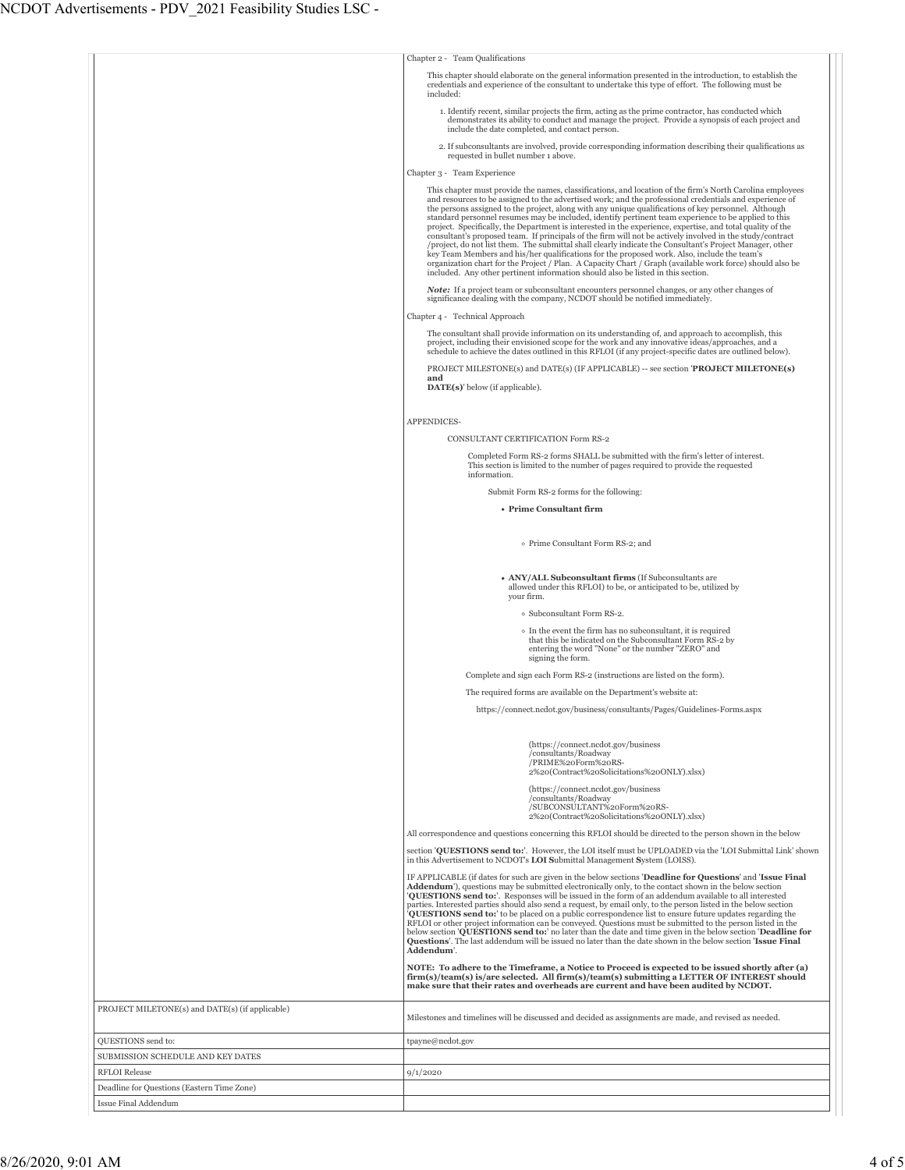|                                                 | Chapter 2 - Team Qualifications                                                                                                                                                                                                                                                                                                                                                                                                                                                                                                                                                                                                                                                                                                                                                                                                                                                                                                                                                                                                                                             |
|-------------------------------------------------|-----------------------------------------------------------------------------------------------------------------------------------------------------------------------------------------------------------------------------------------------------------------------------------------------------------------------------------------------------------------------------------------------------------------------------------------------------------------------------------------------------------------------------------------------------------------------------------------------------------------------------------------------------------------------------------------------------------------------------------------------------------------------------------------------------------------------------------------------------------------------------------------------------------------------------------------------------------------------------------------------------------------------------------------------------------------------------|
|                                                 | This chapter should elaborate on the general information presented in the introduction, to establish the<br>credentials and experience of the consultant to undertake this type of effort. The following must be                                                                                                                                                                                                                                                                                                                                                                                                                                                                                                                                                                                                                                                                                                                                                                                                                                                            |
|                                                 | included:                                                                                                                                                                                                                                                                                                                                                                                                                                                                                                                                                                                                                                                                                                                                                                                                                                                                                                                                                                                                                                                                   |
|                                                 | 1. Identify recent, similar projects the firm, acting as the prime contractor, has conducted which<br>demonstrates its ability to conduct and manage the project. Provide a synopsis of each project and                                                                                                                                                                                                                                                                                                                                                                                                                                                                                                                                                                                                                                                                                                                                                                                                                                                                    |
|                                                 | include the date completed, and contact person.<br>2. If subconsultants are involved, provide corresponding information describing their qualifications as                                                                                                                                                                                                                                                                                                                                                                                                                                                                                                                                                                                                                                                                                                                                                                                                                                                                                                                  |
|                                                 | requested in bullet number 1 above.                                                                                                                                                                                                                                                                                                                                                                                                                                                                                                                                                                                                                                                                                                                                                                                                                                                                                                                                                                                                                                         |
|                                                 | Chapter 3 - Team Experience                                                                                                                                                                                                                                                                                                                                                                                                                                                                                                                                                                                                                                                                                                                                                                                                                                                                                                                                                                                                                                                 |
|                                                 | This chapter must provide the names, classifications, and location of the firm's North Carolina employees<br>and resources to be assigned to the advertised work; and the professional credentials and experience of<br>the persons assigned to the project, along with any unique qualifications of key personnel. Although<br>standard personnel resumes may be included, identify pertinent team experience to be applied to this<br>project. Specifically, the Department is interested in the experience, expertise, and total quality of the<br>consultant's proposed team. If principals of the firm will not be actively involved in the study/contract<br>/project, do not list them. The submittal shall clearly indicate the Consultant's Project Manager, other<br>key Team Members and his/her qualifications for the proposed work. Also, include the team's<br>organization chart for the Project / Plan. A Capacity Chart / Graph (available work force) should also be<br>included. Any other pertinent information should also be listed in this section. |
|                                                 | <b>Note:</b> If a project team or subconsultant encounters personnel changes, or any other changes of<br>significance dealing with the company, NCDOT should be notified immediately.                                                                                                                                                                                                                                                                                                                                                                                                                                                                                                                                                                                                                                                                                                                                                                                                                                                                                       |
|                                                 | Chapter 4 - Technical Approach                                                                                                                                                                                                                                                                                                                                                                                                                                                                                                                                                                                                                                                                                                                                                                                                                                                                                                                                                                                                                                              |
|                                                 | The consultant shall provide information on its understanding of, and approach to accomplish, this                                                                                                                                                                                                                                                                                                                                                                                                                                                                                                                                                                                                                                                                                                                                                                                                                                                                                                                                                                          |
|                                                 | project, including their envisioned scope for the work and any innovative ideas/approaches, and a<br>schedule to achieve the dates outlined in this RFLOI (if any project-specific dates are outlined below).                                                                                                                                                                                                                                                                                                                                                                                                                                                                                                                                                                                                                                                                                                                                                                                                                                                               |
|                                                 | PROJECT MILESTONE(s) and DATE(s) (IF APPLICABLE) -- see section 'PROJECT MILETONE(s)<br>and                                                                                                                                                                                                                                                                                                                                                                                                                                                                                                                                                                                                                                                                                                                                                                                                                                                                                                                                                                                 |
|                                                 | $\textbf{DATE}(s)$ ' below (if applicable).                                                                                                                                                                                                                                                                                                                                                                                                                                                                                                                                                                                                                                                                                                                                                                                                                                                                                                                                                                                                                                 |
|                                                 |                                                                                                                                                                                                                                                                                                                                                                                                                                                                                                                                                                                                                                                                                                                                                                                                                                                                                                                                                                                                                                                                             |
|                                                 | APPENDICES-                                                                                                                                                                                                                                                                                                                                                                                                                                                                                                                                                                                                                                                                                                                                                                                                                                                                                                                                                                                                                                                                 |
|                                                 | <b>CONSULTANT CERTIFICATION Form RS-2</b>                                                                                                                                                                                                                                                                                                                                                                                                                                                                                                                                                                                                                                                                                                                                                                                                                                                                                                                                                                                                                                   |
|                                                 | Completed Form RS-2 forms SHALL be submitted with the firm's letter of interest.<br>This section is limited to the number of pages required to provide the requested<br>information.                                                                                                                                                                                                                                                                                                                                                                                                                                                                                                                                                                                                                                                                                                                                                                                                                                                                                        |
|                                                 | Submit Form RS-2 forms for the following:                                                                                                                                                                                                                                                                                                                                                                                                                                                                                                                                                                                                                                                                                                                                                                                                                                                                                                                                                                                                                                   |
|                                                 | • Prime Consultant firm                                                                                                                                                                                                                                                                                                                                                                                                                                                                                                                                                                                                                                                                                                                                                                                                                                                                                                                                                                                                                                                     |
|                                                 |                                                                                                                                                                                                                                                                                                                                                                                                                                                                                                                                                                                                                                                                                                                                                                                                                                                                                                                                                                                                                                                                             |
|                                                 | o Prime Consultant Form RS-2; and                                                                                                                                                                                                                                                                                                                                                                                                                                                                                                                                                                                                                                                                                                                                                                                                                                                                                                                                                                                                                                           |
|                                                 | • ANY/ALL Subconsultant firms (If Subconsultants are<br>allowed under this RFLOI) to be, or anticipated to be, utilized by<br>your firm.                                                                                                                                                                                                                                                                                                                                                                                                                                                                                                                                                                                                                                                                                                                                                                                                                                                                                                                                    |
|                                                 | o Subconsultant Form RS-2.                                                                                                                                                                                                                                                                                                                                                                                                                                                                                                                                                                                                                                                                                                                                                                                                                                                                                                                                                                                                                                                  |
|                                                 | • In the event the firm has no subconsultant, it is required                                                                                                                                                                                                                                                                                                                                                                                                                                                                                                                                                                                                                                                                                                                                                                                                                                                                                                                                                                                                                |
|                                                 | that this be indicated on the Subconsultant Form RS-2 by<br>entering the word "None" or the number "ZERO" and<br>signing the form.                                                                                                                                                                                                                                                                                                                                                                                                                                                                                                                                                                                                                                                                                                                                                                                                                                                                                                                                          |
|                                                 | Complete and sign each Form RS-2 (instructions are listed on the form).                                                                                                                                                                                                                                                                                                                                                                                                                                                                                                                                                                                                                                                                                                                                                                                                                                                                                                                                                                                                     |
|                                                 | The required forms are available on the Department's website at:                                                                                                                                                                                                                                                                                                                                                                                                                                                                                                                                                                                                                                                                                                                                                                                                                                                                                                                                                                                                            |
|                                                 | https://connect.ncdot.gov/business/consultants/Pages/Guidelines-Forms.aspx                                                                                                                                                                                                                                                                                                                                                                                                                                                                                                                                                                                                                                                                                                                                                                                                                                                                                                                                                                                                  |
|                                                 |                                                                                                                                                                                                                                                                                                                                                                                                                                                                                                                                                                                                                                                                                                                                                                                                                                                                                                                                                                                                                                                                             |
|                                                 | (https://connect.ncdot.gov/business<br>/consultants/Roadway<br>/PRIME%20Form%20RS-<br>2%20(Contract%20Solicitations%20ONLY).xlsx)                                                                                                                                                                                                                                                                                                                                                                                                                                                                                                                                                                                                                                                                                                                                                                                                                                                                                                                                           |
|                                                 | (https://connect.ncdot.gov/business<br>/consultants/Roadway<br>/SUBCONSULTANT%20Form%20RS-                                                                                                                                                                                                                                                                                                                                                                                                                                                                                                                                                                                                                                                                                                                                                                                                                                                                                                                                                                                  |
|                                                 | 2%20(Contract%20Solicitations%20ONLY).xlsx)                                                                                                                                                                                                                                                                                                                                                                                                                                                                                                                                                                                                                                                                                                                                                                                                                                                                                                                                                                                                                                 |
|                                                 | All correspondence and questions concerning this RFLOI should be directed to the person shown in the below<br>section 'OUESTIONS send to:'. However, the LOI itself must be UPLOADED via the 'LOI Submittal Link' shown                                                                                                                                                                                                                                                                                                                                                                                                                                                                                                                                                                                                                                                                                                                                                                                                                                                     |
|                                                 | in this Advertisement to NCDOT's LOI Submittal Management System (LOISS).<br>IF APPLICABLE (if dates for such are given in the below sections 'Deadline for Questions' and 'Issue Final                                                                                                                                                                                                                                                                                                                                                                                                                                                                                                                                                                                                                                                                                                                                                                                                                                                                                     |
|                                                 | Addendum'), questions may be submitted electronically only, to the contact shown in the below section<br>'QUESTIONS send to:'. Responses will be issued in the form of an addendum available to all interested<br>parties. Interested parties should also send a request, by email only, to the person listed in the below section<br>QUESTIONS send to: to be placed on a public correspondence list to ensure future updates regarding the<br>RFLOI or other project information can be conveyed. Questions must be submitted to the person listed in the<br>below section <b>QUESTIONS</b> send to: no later than the date and time given in the below section <b>Deadline for</b><br><b>Questions'.</b> The last addendum will be issued no later than the date shown in the below section <b>Issue Final</b><br>Addendum'.                                                                                                                                                                                                                                             |
|                                                 | NOTE: To adhere to the Timeframe, a Notice to Proceed is expected to be issued shortly after (a)<br>firm(s)/team(s) is/are selected. All firm(s)/team(s) submitting a LETTER OF INTEREST should<br>make sure that their rates and overheads are current and have been audited by NCDOT.                                                                                                                                                                                                                                                                                                                                                                                                                                                                                                                                                                                                                                                                                                                                                                                     |
| PROJECT MILETONE(s) and DATE(s) (if applicable) | Milestones and timelines will be discussed and decided as assignments are made, and revised as needed.                                                                                                                                                                                                                                                                                                                                                                                                                                                                                                                                                                                                                                                                                                                                                                                                                                                                                                                                                                      |
| QUESTIONS send to:                              | tpayne@ncdot.gov                                                                                                                                                                                                                                                                                                                                                                                                                                                                                                                                                                                                                                                                                                                                                                                                                                                                                                                                                                                                                                                            |
| SUBMISSION SCHEDULE AND KEY DATES               |                                                                                                                                                                                                                                                                                                                                                                                                                                                                                                                                                                                                                                                                                                                                                                                                                                                                                                                                                                                                                                                                             |
| <b>RFLOI</b> Release                            | 9/1/2020                                                                                                                                                                                                                                                                                                                                                                                                                                                                                                                                                                                                                                                                                                                                                                                                                                                                                                                                                                                                                                                                    |
| Deadline for Questions (Eastern Time Zone)      |                                                                                                                                                                                                                                                                                                                                                                                                                                                                                                                                                                                                                                                                                                                                                                                                                                                                                                                                                                                                                                                                             |
| Issue Final Addendum                            |                                                                                                                                                                                                                                                                                                                                                                                                                                                                                                                                                                                                                                                                                                                                                                                                                                                                                                                                                                                                                                                                             |